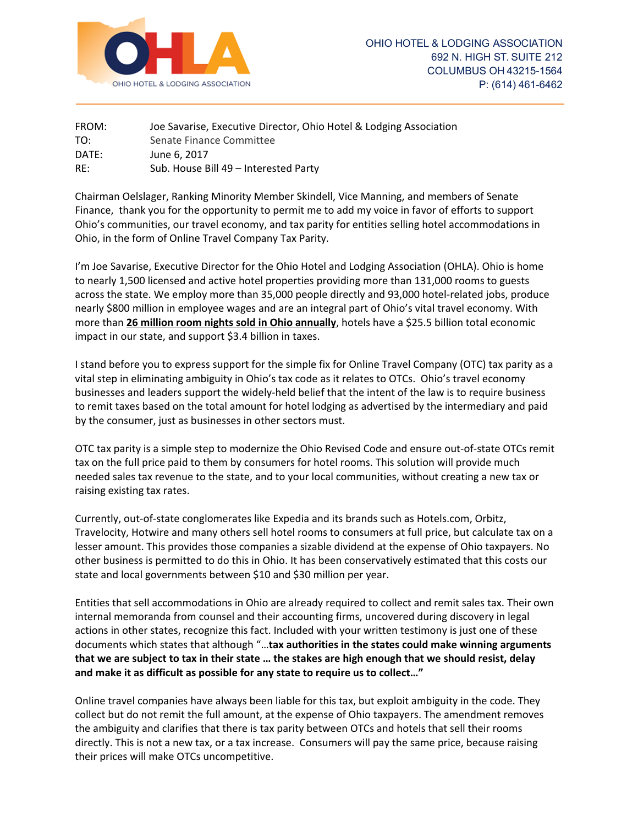

| FROM: | Joe Savarise, Executive Director, Ohio Hotel & Lodging Association |
|-------|--------------------------------------------------------------------|
| TO:   | Senate Finance Committee                                           |
| DATE: | June 6, 2017                                                       |
| RE:   | Sub. House Bill 49 – Interested Party                              |

Chairman Oelslager, Ranking Minority Member Skindell, Vice Manning, and members of Senate Finance, thank you for the opportunity to permit me to add my voice in favor of efforts to support Ohio's communities, our travel economy, and tax parity for entities selling hotel accommodations in Ohio, in the form of Online Travel Company Tax Parity.

I'm Joe Savarise, Executive Director for the Ohio Hotel and Lodging Association (OHLA). Ohio is home to nearly 1,500 licensed and active hotel properties providing more than 131,000 rooms to guests across the state. We employ more than 35,000 people directly and 93,000 hotel-related jobs, produce nearly \$800 million in employee wages and are an integral part of Ohio's vital travel economy. With more than **26 million room nights sold in Ohio annually**, hotels have a \$25.5 billion total economic impact in our state, and support \$3.4 billion in taxes.

I stand before you to express support for the simple fix for Online Travel Company (OTC) tax parity as a vital step in eliminating ambiguity in Ohio's tax code as it relates to OTCs. Ohio's travel economy businesses and leaders support the widely-held belief that the intent of the law is to require business to remit taxes based on the total amount for hotel lodging as advertised by the intermediary and paid by the consumer, just as businesses in other sectors must.

OTC tax parity is a simple step to modernize the Ohio Revised Code and ensure out-of-state OTCs remit tax on the full price paid to them by consumers for hotel rooms. This solution will provide much needed sales tax revenue to the state, and to your local communities, without creating a new tax or raising existing tax rates.

Currently, out-of-state conglomerates like Expedia and its brands such as Hotels.com, Orbitz, Travelocity, Hotwire and many others sell hotel rooms to consumers at full price, but calculate tax on a lesser amount. This provides those companies a sizable dividend at the expense of Ohio taxpayers. No other business is permitted to do this in Ohio. It has been conservatively estimated that this costs our state and local governments between \$10 and \$30 million per year.

Entities that sell accommodations in Ohio are already required to collect and remit sales tax. Their own internal memoranda from counsel and their accounting firms, uncovered during discovery in legal actions in other states, recognize this fact. Included with your written testimony is just one of these documents which states that although "…**tax authorities in the states could make winning arguments that we are subject to tax in their state … the stakes are high enough that we should resist, delay and make it as difficult as possible for any state to require us to collect…"**

Online travel companies have always been liable for this tax, but exploit ambiguity in the code. They collect but do not remit the full amount, at the expense of Ohio taxpayers. The amendment removes the ambiguity and clarifies that there is tax parity between OTCs and hotels that sell their rooms directly. This is not a new tax, or a tax increase. Consumers will pay the same price, because raising their prices will make OTCs uncompetitive.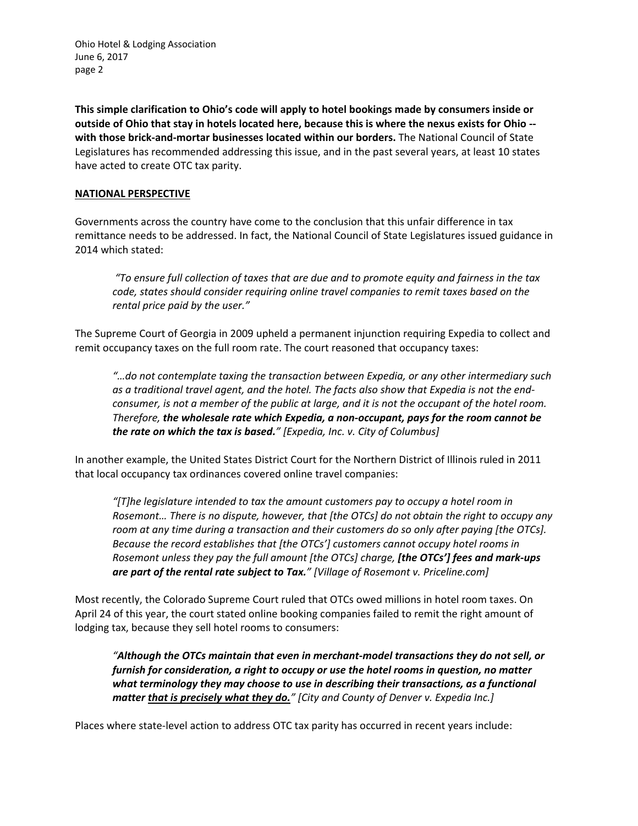Ohio Hotel & Lodging Association June 6, 2017 page 2

**This simple clarification to Ohio's code will apply to hotel bookings made by consumers inside or outside of Ohio that stay in hotels located here, because this is where the nexus exists for Ohio - with those brick-and-mortar businesses located within our borders.** The National Council of State Legislatures has recommended addressing this issue, and in the past several years, at least 10 states have acted to create OTC tax parity.

### **NATIONAL PERSPECTIVE**

Governments across the country have come to the conclusion that this unfair difference in tax remittance needs to be addressed. In fact, the National Council of State Legislatures issued guidance in 2014 which stated:

*"To ensure full collection of taxes that are due and to promote equity and fairness in the tax code, states should consider requiring online travel companies to remit taxes based on the rental price paid by the user."*

The Supreme Court of Georgia in 2009 upheld a permanent injunction requiring Expedia to collect and remit occupancy taxes on the full room rate. The court reasoned that occupancy taxes:

*"…do not contemplate taxing the transaction between Expedia, or any other intermediary such as a traditional travel agent, and the hotel. The facts also show that Expedia is not the endconsumer, is not a member of the public at large, and it is not the occupant of the hotel room. Therefore, the wholesale rate which Expedia, a non-occupant, pays for the room cannot be the rate on which the tax is based." [Expedia, Inc. v. City of Columbus]*

In another example, the United States District Court for the Northern District of Illinois ruled in 2011 that local occupancy tax ordinances covered online travel companies:

*"[T]he legislature intended to tax the amount customers pay to occupy a hotel room in Rosemont… There is no dispute, however, that [the OTCs] do not obtain the right to occupy any room at any time during a transaction and their customers do so only after paying [the OTCs]. Because the record establishes that [the OTCs'] customers cannot occupy hotel rooms in Rosemont unless they pay the full amount [the OTCs] charge, [the OTCs'] fees and mark-ups are part of the rental rate subject to Tax." [Village of Rosemont v. Priceline.com]*

Most recently, the Colorado Supreme Court ruled that OTCs owed millions in hotel room taxes. On April 24 of this year, the court stated online booking companies failed to remit the right amount of lodging tax, because they sell hotel rooms to consumers:

*"Although the OTCs maintain that even in merchant-model transactions they do not sell, or furnish for consideration, a right to occupy or use the hotel rooms in question, no matter what terminology they may choose to use in describing their transactions, as a functional matter that is precisely what they do." [City and County of Denver v. Expedia Inc.]*

Places where state-level action to address OTC tax parity has occurred in recent years include: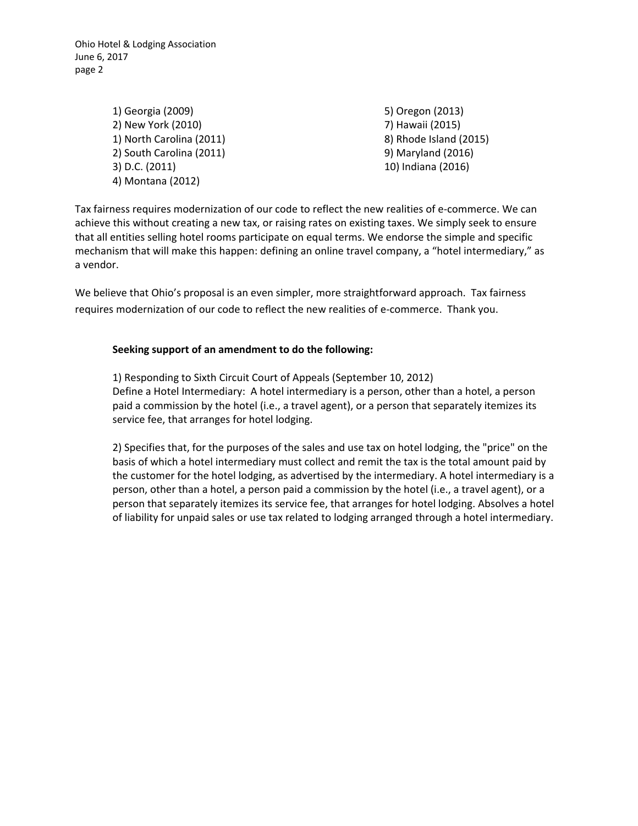Ohio Hotel & Lodging Association June 6, 2017 page 2

> 1) Georgia (2009) 2) New York (2010) 1) North Carolina (2011) 2) South Carolina (2011) 3) D.C. (2011) 4) Montana (2012)

5) Oregon (2013) 7) Hawaii (2015) 8) Rhode Island (2015) 9) Maryland (2016) 10) Indiana (2016)

Tax fairness requires modernization of our code to reflect the new realities of e-commerce. We can achieve this without creating a new tax, or raising rates on existing taxes. We simply seek to ensure that all entities selling hotel rooms participate on equal terms. We endorse the simple and specific mechanism that will make this happen: defining an online travel company, a "hotel intermediary," as a vendor.

We believe that Ohio's proposal is an even simpler, more straightforward approach. Tax fairness requires modernization of our code to reflect the new realities of e-commerce. Thank you.

## **Seeking support of an amendment to do the following:**

1) Responding to Sixth Circuit Court of Appeals (September 10, 2012) Define a Hotel Intermediary: A hotel intermediary is a person, other than a hotel, a person paid a commission by the hotel (i.e., a travel agent), or a person that separately itemizes its service fee, that arranges for hotel lodging.

2) Specifies that, for the purposes of the sales and use tax on hotel lodging, the "price" on the basis of which a hotel intermediary must collect and remit the tax is the total amount paid by the customer for the hotel lodging, as advertised by the intermediary. A hotel intermediary is a person, other than a hotel, a person paid a commission by the hotel (i.e., a travel agent), or a person that separately itemizes its service fee, that arranges for hotel lodging. Absolves a hotel of liability for unpaid sales or use tax related to lodging arranged through a hotel intermediary.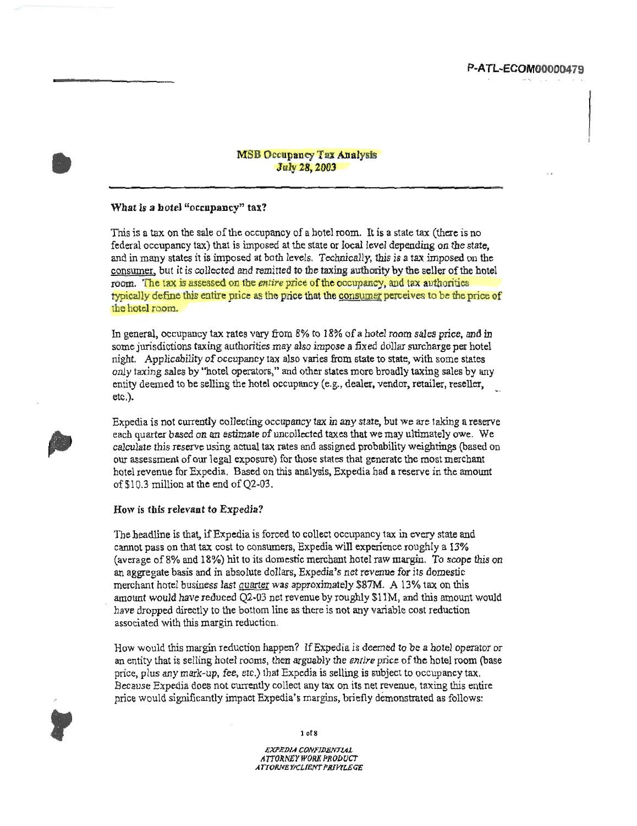# P-ATL-ECOM00000479

### **MSB Occupancy Tax Analysis July 28, 2003**

### What is a hotel "occupancy" tax?

This is a tax on the sale of the occupancy of a hotel room. It is a state tax (there is no federal occupancy tax) that is imposed at the state or local level depending on the state, and in many states it is imposed at both levels. Technically, this is a tax imposed on the consumer, but it is collected and remitted to the taxing authority by the seller of the hotel room. The tax is assessed on the entire price of the occupancy, and tax authorities typically define this entire price as the price that the consumer perceives to be the price of the hotel room.

In general, occupancy tax rates vary from 8% to 18% of a hotel room sales price, and in some jurisdictions taxing authorities may also impose a fixed dollar surcharge per hotel night. Applicability of occupancy tax also varies from state to state, with some states only taxing sales by "hotel operators," and other states more broadly taxing sales by any entity deemed to be selling the hotel occupancy (e.g., dealer, vendor, retailer, reseller,  $etc.$ ).

Expedia is not currently collecting occupancy tax in any state, but we are taking a reserve each quarter based on an estimate of uncollected taxes that we may ultimately owe. We calculate this reserve using actual tax rates and assigned probability weightings (based on our assessment of our legal exposure) for those states that generate the most merchant hotel revenue for Expedia. Based on this analysis, Expedia had a reserve in the amount of \$10.3 million at the end of Q2-03.

#### How is this relevant to Expedia?

The headline is that, if Expedia is forced to collect occupancy tax in every state and cannot pass on that tax cost to consumers, Expedia will experience roughly a 13% (average of 8% and 18%) hit to its domestic merchant hotel raw margin. To scope this on an aggregate basis and in absolute dollars, Expedia's net revenue for its domestic merchant hotel business last quarter was approximately \$87M. A 13% tax on this amount would have reduced Q2-03 net revenue by roughly \$11M, and this amount would have dropped directly to the bottom line as there is not any variable cost reduction associated with this margin reduction.

How would this margin reduction happen? If Expedia is deemed to be a hotel operator or an entity that is selling hotel rooms, then arguably the entire price of the hotel room (base price, plus any mark-up, fee, etc.) that Expedia is selling is subject to occupancy tax. Because Expedia does not currently collect any tax on its net revenue, taxing this entire price would significantly impact Expedia's margins, briefly demonstrated as follows:



 $1 of 8$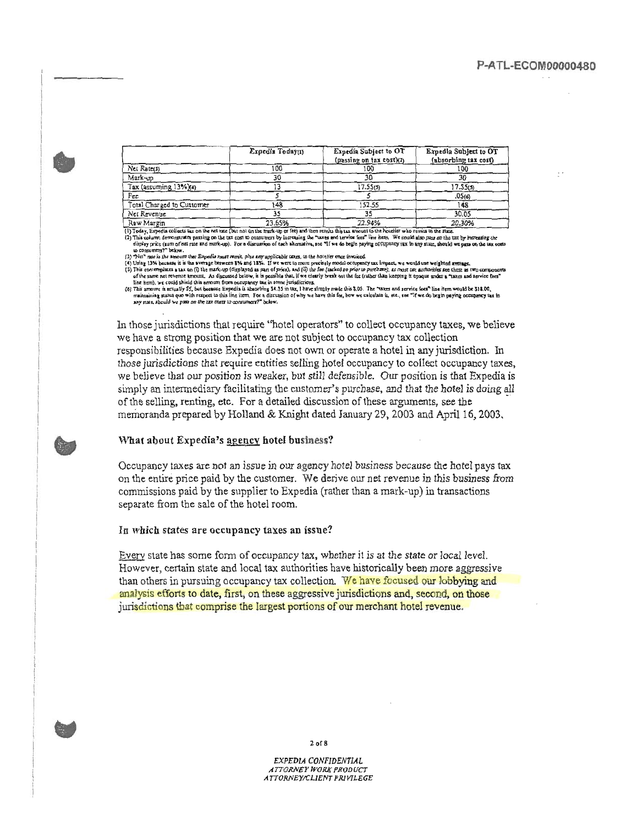|                           | Expedia Today(1) | Expedia Subject to OT<br>(passing on tax cost)(7) | Expedia Subject to OT<br>(absorbing tax cost) |
|---------------------------|------------------|---------------------------------------------------|-----------------------------------------------|
| Net Rate(3)               | 100              | 100                                               | 100                                           |
| Mark-up                   |                  |                                                   | 30                                            |
| Tax (assuming 13%)(4)     |                  | 17.55(5)                                          | 17.55(5)                                      |
| Fee                       |                  |                                                   | .05ග                                          |
| Total Charged to Customer | :48              | 152.55                                            | 148                                           |
| Net Revenue               |                  |                                                   | 30.05                                         |
| Raw Margin                | 23.65%           | 22.94%                                            | 20.30%                                        |

(1) Today, Expedia collects tax on the net rate (but not on the mark-up or fee) and then remits this tax amount to the hotelier who remits to the rate.

(1) This column demonstrates passing on the tax tost to consumers by increasing the "axes and arrive feer" line hern. We could also pass on the tax in the team of the team of the team of the feer and a service feer" line h

diploy price (sum of out rate and must september). And we say applicable taxes, to the hotelier once lowoiced<br>(3) "Net" rate is the two-unt thei Expedia must remit, phu any applicable taxes, to the hotelier once lowoiced<br>(

(5) This amount is actually \$5, but because Expedia is absorbing \$4.55 in tax. I have simply made this \$.05. The "taxes and service foca" line from would be \$18.00.<br>(5) This amount is actually \$5, but because Expedia is ab any state, should we pass on the tax costs to consumers?" below.

In those jurisdictions that require "hotel operators" to collect occupancy taxes, we believe we have a strong position that we are not subject to occupancy tax collection responsibilities because Expedia does not own or operate a hotel in any jurisdiction. In those jurisdictions that require entities selling hotel occupancy to collect occupancy taxes, we believe that our position is weaker, but still defensible. Our position is that Expedia is simply an intermediary facilitating the customer's purchase, and that the hotel is doing all of the selling, renting, etc. For a detailed discussion of these arguments, see the memoranda prepared by Holland & Knight dated January 29, 2003 and April 16, 2003.

### What about Expedia's agency hotel business?

Occupancy taxes are not an issue in our agency hotel business because the hotel pays tax on the entire price paid by the customer. We derive our net revenue in this business from commissions paid by the supplier to Expedia (rather than a mark-up) in transactions separate from the sale of the hotel room.

#### In which states are occupancy taxes an issue?

Every state has some form of occupancy tax, whether it is at the state or local level. However, certain state and local tax authorities have historically been more aggressive than others in pursuing occupancy tax collection. We have focused our lobbying and analysis efforts to date, first, on these aggressive jurisdictions and, second, on those jurisdictions that comprise the largest portions of our merchant hotel revenue.



 $2$  of  $8$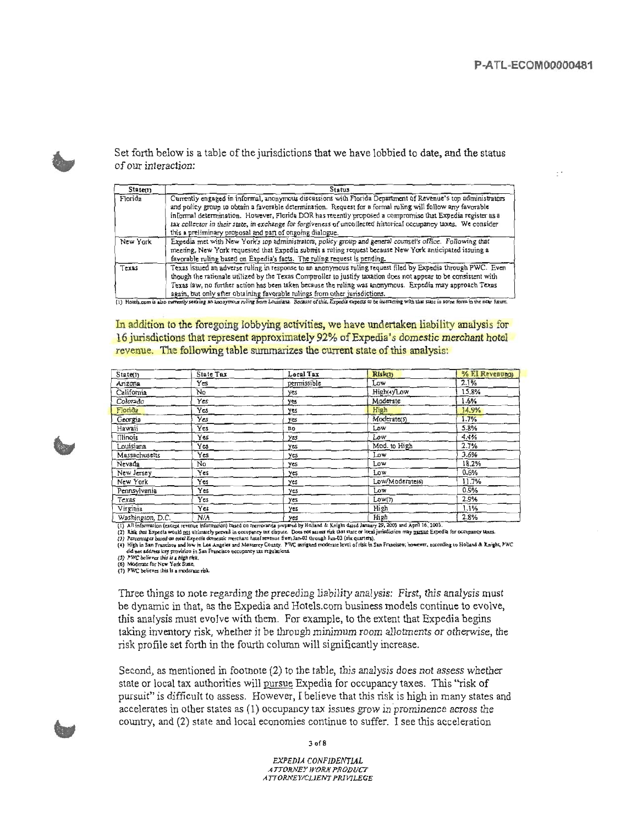$\mathbb{R}^{\times}$ 



Set forth below is a table of the jurisdictions that we have lobbied to date, and the status of our interaction:

| State(1) | <b>Status</b>                                                                                                                                                                                                                                                                                                                                                                                                                                                                                                              |
|----------|----------------------------------------------------------------------------------------------------------------------------------------------------------------------------------------------------------------------------------------------------------------------------------------------------------------------------------------------------------------------------------------------------------------------------------------------------------------------------------------------------------------------------|
| Florida  | Currently engaged in informal, anonymous discussions with Florida Department of Revenue's top administrators<br>and policy group to obtain a favorable determination. Request for a formal ruling will follow any favorable<br>informal determination. However, Florida DOR has recently proposed a compromise that Expedia register as a<br>tax collector in their state, in exchange for forgiveness of uncollected historical occupancy taxes. We consider<br>this a preliminary proposal and part of ongoing dialogue. |
| New York | Expedia met with New York's top administrators, policy group and general counsel's office. Following that<br>meeting, New York requested that Expedia submit a ruling request because New York anticipated issuing a<br>favorable ruling based on Expedia's facts. The ruling request is pending.                                                                                                                                                                                                                          |
| Texas    | Texas issued an adverse ruling in response to an anonymous ruling request filed by Expedia through PWC. Even<br>though the rationale utilized by the Texas Comptroller to justify taxation does not appear to be consistent with<br>Texas law, no further action has been taken because the ruling was anonymous. Expedia may approach Texas<br>again, but only after obtaining favorable rulings from other jurisdictions.                                                                                                |

(1) Hotels, com is also currently seeking an anonymous ruling from Louisiana. Because of this, Expedia expects to be interacting with that state in some form in the near haun-

In addition to the foregoing lobbying activities, we have undertaken liability analysis for 16 jurisdictions that represent approximately 92% of Expedia's domestic merchant hotel revenue. The following table summarizes the current state of this analysis:

| State(1)         | State Tax | Local Tax   | Rlsk(2)         | % EI Revenue(3) |
|------------------|-----------|-------------|-----------------|-----------------|
| Arizona          | Yes       | permissible | Low             | 2.1%            |
| California       | No        | yes         | High(4yLow      | 15.8%           |
| Colorado         | Yes       | yes         | Moderate        | 1.6%            |
| Florida          | Yes       | yes         | High            | 14.9%           |
| Georgia          | Yes       | yes         | Moderate(5)     | 1.7%            |
| Hawaii           | Yes       | no          | Low             | 5.8%            |
| <b>Illinois</b>  | Yes       | yes         | Low             | 4.4%            |
| Louisiana        | Yes       | yes         | Mod. to High    | 2.7%            |
| Massachusetts    | Yes       | yes         | Low             | 3.6%            |
| Nevada           | No        | yes         | Low             | 18.2%           |
| New Jersey       | Yes       | yes         | Low             | 0.6%            |
| New York         | Yes       | yes         | Low/Moderate(6) | 11.7%           |
| Pennsylvania     | Yes       | yes         | Low             | 0.9%            |
| Texas            | Yes       | yes         | Low(7)          | 2.9%            |
| Virginia         | Yes       | yes         | High            | 1.1%            |
| Washington, D.C. | N/A       | yes         | High            | 2.8%            |

 $(1)$ Alighthromation (Section Transformation) based on memoranta py Holland & Knight dated January 26, 2003 and April 16, 2003.<br>
(2) A is information (except retrouve information) based on memoranta by Holland & Knight da

Three things to note regarding the preceding liability analysis: First, this analysis must be dynamic in that, as the Expedia and Hotels.com business models continue to evolve, this analysis must evolve with them. For example, to the extent that Expedia begins taking inventory risk, whether it be through minimum room allotments or otherwise, the risk profile set forth in the fourth column will significantly increase.

Second, as mentioned in footnote (2) to the table, this analysis does not assess whether state or local tax authorities will pursue Expedia for occupancy taxes. This "risk of pursuit" is difficult to assess. However, I believe that this risk is high in many states and accelerates in other states as (1) occupancy tax issues grow in prominence across the country, and (2) state and local economies continue to suffer. I see this acceleration

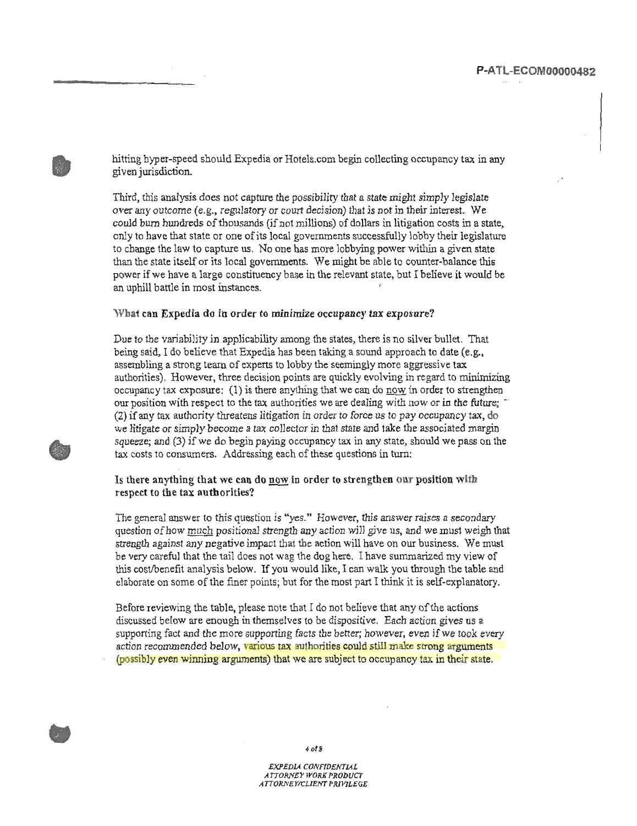hitting hyper-speed should Expedia or Hotels.com begin collecting occupancy tax in any given jurisdiction.

Third, this analysis does not capture the possibility that a state might simply legislate over any outcome (e.g., regulatory or court decision) that is not in their interest. We could burn hundreds of thousands (if not millions) of dollars in litigation costs in a state, only to have that state or one of its local governments successfully lobby their legislature to change the law to capture us. No one has more lobbying power within a given state than the state itself or its local governments. We might be able to counter-balance this power if we have a large constituency base in the relevant state, but I believe it would be an uphill battle in most instances.

### What can Expedia do in order to minimize occupancy tax exposure?

Due to the variability in applicability among the states, there is no silver bullet. That being said, I do believe that Expedia has been taking a sound approach to date (e.g., assembling a strong team of experts to lobby the seemingly more aggressive tax authorities). However, three decision points are quickly evolving in regard to minimizing occupancy tax exposure:  $(1)$  is there anything that we can do now in order to strengthen our position with respect to the tax authorities we are dealing with now or in the future; (2) if any tax authority threatens litigation in order to force us to pay occupancy tax, do we litigate or simply become a tax collector in that state and take the associated margin squeeze; and (3) if we do begin paying occupancy tax in any state, should we pass on the tax costs to consumers. Addressing each of these questions in turn:

### Is there anything that we can do now in order to strengthen our position with respect to the tax authorities?

The general answer to this question is "yes." However, this answer raises a secondary question of how much positional strength any action will give us, and we must weigh that strength against any negative impact that the action will have on our business. We must be very careful that the tail does not wag the dog here. I have summarized my view of this cost/benefit analysis below. If you would like, I can walk you through the table and elaborate on some of the finer points; but for the most part I think it is self-explanatory.

Before reviewing the table, please note that I do not believe that any of the actions discussed below are enough in themselves to be dispositive. Each action gives us a supporting fact and the more supporting facts the better; however, even if we took every action recommended below, various tax authorities could stall make strong arguments (possibly even winning arguments) that we are subject to occupancy tax in their state.



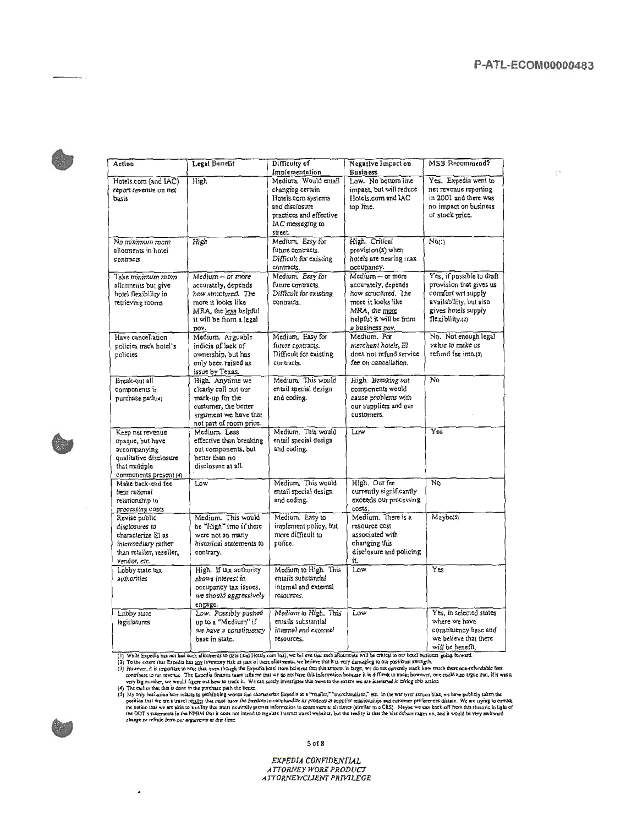$\pm$   $\star$ 



| Action                                                                                                                    | Legal Benefit                                                                                                                                    | Difficulty of<br>Implementation                                                                                                            | Negative Impact on<br><b>Business</b>                                                                                                                 | <b>MSB</b> Recommend?                                                                                                                          |
|---------------------------------------------------------------------------------------------------------------------------|--------------------------------------------------------------------------------------------------------------------------------------------------|--------------------------------------------------------------------------------------------------------------------------------------------|-------------------------------------------------------------------------------------------------------------------------------------------------------|------------------------------------------------------------------------------------------------------------------------------------------------|
| Hotels.com (and IAC)<br>report revenue on net<br>basis                                                                    | High                                                                                                                                             | Medium. Would entail<br>changing certain<br>Hotels.com systems<br>and disclosure<br>practices and effective<br>IAC messaging to<br>street. | Low. No bottom line<br>impact, but will reduce<br>Hotels.com and IAC<br>top line.                                                                     | Yes. Expedia went to<br>net revenue reporting<br>in 2001 and there was<br>no impact on business<br>or stock price.                             |
| No minimum room<br>allotments in hotel<br>contracts                                                                       | High                                                                                                                                             | Medium. Easy for<br>future contracts.<br>Difficult for existing<br>contracts.                                                              | High. Critical<br>provision(s) when<br>hotels are nearing max<br>occupancy.                                                                           | Noti                                                                                                                                           |
| Take minimum room<br>allotments but give<br>hotel flexibility in<br>retrieving rooms                                      | Medium - or more<br>accurately, depends<br>how structured. The<br>more it looks like<br>MRA, the less helpful<br>it will be from a legal<br>pov. | Medium. Easy for<br>future contracts.<br>Difficult for existing<br>contracts.                                                              | $Median - or more$<br>accurately, depends<br>how structured. The<br>more it looks like<br>MRA, the more<br>helpful it will be from<br>a business pov. | Yes, if possible to draft<br>provision that gives us<br>comfort wrt supply<br>availability, but also<br>gives hotels supply<br>flexibility.(2) |
| Have cancellation<br>policies track hotel's<br>policies                                                                   | Medium. Arguable<br>indicia of lack of<br>ownership, but has<br>only been raised as<br>issue by Texas.                                           | Medium. Easy for<br>future contracts.<br>Difficult for existing<br>contracts.                                                              | Medium. For<br>merchant hotels, El<br>does not refund service.<br>fee on cancellation.                                                                | No. Not enough legal<br>value to make us<br>refund fee imo.(3)                                                                                 |
| Break-out all<br>components in<br>purchase path(4)                                                                        | High. Anytime we<br>clearly call out our<br>mark-up for the<br>customer, the better<br>argument we have that<br>not part of room price.          | Medium. This would<br>entail special design<br>and coding.                                                                                 | High. Breaking out<br>components would<br>cause problems with<br>our suppliers and our<br>customers.                                                  | No                                                                                                                                             |
| Keep net revenue<br>opaque, but have<br>accompanying<br>qualitative disclosure<br>that multiple<br>components present (4) | Medium. Less<br>effective than breaking<br>out components, but<br>better than no<br>disclosure at all.                                           | Medium. This would<br>entail special design<br>and coding.                                                                                 | Low                                                                                                                                                   | Yes                                                                                                                                            |
| Make back-end fee<br>bear rational<br>relationship to<br>processing costs                                                 | Low                                                                                                                                              | Medjum, This would<br>entail special design<br>and coding.                                                                                 | High. Our fee<br>currently significantly<br>exceeds our processing<br>costs.                                                                          | No                                                                                                                                             |
| Revise public<br>disclosures to<br>characterize El as<br>intermediary rather<br>than retailer, reseller,<br>vendor, etc.  | Medium. This would<br>be "High" imo if there<br>were not so many<br>historical statements to<br>contrary.                                        | Medium. Easy to<br>implement policy, but<br>more difficult to<br>police.                                                                   | Medium. There is a<br>resource cost<br>associated with<br>changing this<br>disclosure and policing<br>it.                                             | Maybe(5)                                                                                                                                       |
| Lobby state tax<br>authorities                                                                                            | High. If tax authority<br>shows interest in<br>occupancy tax issues,<br>we should aggressively<br>engage.                                        | Medium to High. This<br>entails substantial<br>internal and external<br>resources.                                                         | Low                                                                                                                                                   | Yes                                                                                                                                            |
| Looby state<br>legislatures                                                                                               | Low. Possibly pushed<br>up to a "Medium" if<br>we have a constituency<br>base in state.                                                          | Medium to High. This<br>entails substantial<br>internal and external<br>resources.                                                         | Low                                                                                                                                                   | Yes, in selected states<br>where we have<br>constituency base and<br>we believe that there<br>will be benefit.                                 |

 $\bullet$ 

(1) While Expedia has not had anch allowners to date (and Hotels.com has), we believe that seek alloursent will be errical to our both be left.<br>
(2) To the extent that Expedia has any inversory risk as part of these shorm

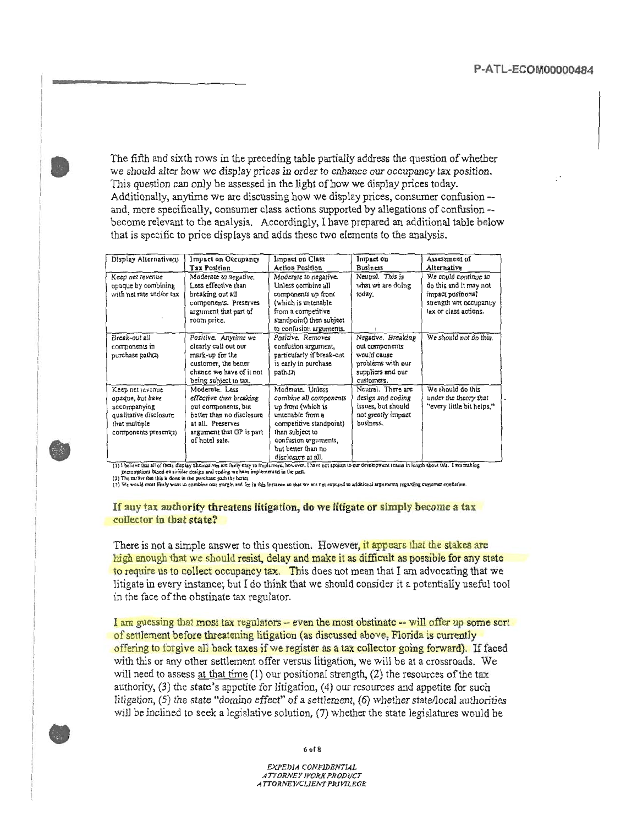The fifth and sixth rows in the preceding table partially address the question of whether we should alter how we display prices in order to enhance our occupancy tax position. This question can only be assessed in the light of how we display prices today. Additionally, anytime we are discussing how we display prices, consumer confusion -and, more specifically, consumer class actions supported by allegations of confusion -become relevant to the analysis. Accordingly, I have prepared an additional table below that is specific to price displays and adds these two elements to the analysis.

| Display Alternative(1)                                                                                                   | Impact on Occupancy<br>Tax Position                                                                                                                              | Impact on Class<br><b>Action Position</b>                                                                                                                                                              | Impact on<br><b>Business</b>                                                                                | Assessment of<br>Alternative                                                                                           |
|--------------------------------------------------------------------------------------------------------------------------|------------------------------------------------------------------------------------------------------------------------------------------------------------------|--------------------------------------------------------------------------------------------------------------------------------------------------------------------------------------------------------|-------------------------------------------------------------------------------------------------------------|------------------------------------------------------------------------------------------------------------------------|
| Keep net revenue<br>opaque by combining<br>with net rate and/or tax                                                      | Moderate to negative.<br>Less effective than<br>breaking out all<br>components. Preserves<br>argument that part of<br>room price.                                | Moderate to negative.<br>Unless combine all<br>components up front<br>(which is untenable<br>from a competitive<br>standpoint) then subject<br>to confusion arguments.                                 | Neutral. This is<br>what we are doing<br>today.                                                             | We could continue to<br>do this and it may not<br>impact positional<br>strength wit occupancy<br>tax or class actions. |
| Break-out all<br>components in<br>purchase path(2)                                                                       | Positive. Anytime we<br>clearly call out our<br>mark-up for the<br>customer, the better<br>chance we have of it not<br>being subject to tax.                     | Positive, Removes<br>confusion argument,<br>particularly if break-out<br>is early in purchase<br>path.(3)                                                                                              | Negative. Breaking<br>out components<br>would cause<br>problems with our<br>suppliers and our<br>customers. | We should not do this.                                                                                                 |
| Keep net revenue<br>opaque, but have<br>accompanying<br>qualitative disclosure<br>that multiple<br>components present(2) | Moderate, Less<br>effective than breaking<br>out components, but<br>better than no disclosure<br>at all. Preserves<br>argument that GP is part<br>of hotel sale. | Moderate, Unless<br>combine all components<br>up front (which is<br>untenable from a<br>competitive standpoint)<br>then subject to<br>confusion arguments,<br>but better than no<br>disclosure at all. | Neutral. There are<br>design and coding<br>issues, but should<br>not greatly impact<br>business.            | We should do this<br>under the theory that<br>"every little bit helps."                                                |

(1) I believe that all of these display alternatives are fairly easy to implement, however, I have not spoken to our development teams in length shout this. I am making<br>(2) The traitive has in done in the purchase path the

If any tax authority threatens litigation, do we litigate or simply become a tax collector in that state?

There is not a simple answer to this question. However, it appears that the stakes are high enough that we should resist, delay and make it as difficult as possible for any state to require us to collect occupancy tax. This does not mean that I am advocating that we litigate in every instance; but I do think that we should consider it a potentially useful tool in the face of the obstinate tax regulator.

I am guessing that most tax regulators – even the most obstinate –– will offer up some sort of settlement before threatening litigation (as discussed above, Florida is currently offering to forgive all back taxes if we register as a tax collector going forward). If faced with this or any other settlement offer versus litigation, we will be at a crossroads. We will need to assess at that time (1) our positional strength, (2) the resources of the tax authority, (3) the state's appetite for litigation, (4) our resources and appetite for such litigation,  $(5)$  the state "domino effect" of a settlement,  $(6)$  whether state/local authorities will be inclined to seek a legislative solution, (7) whether the state legislatures would be



 $60f8$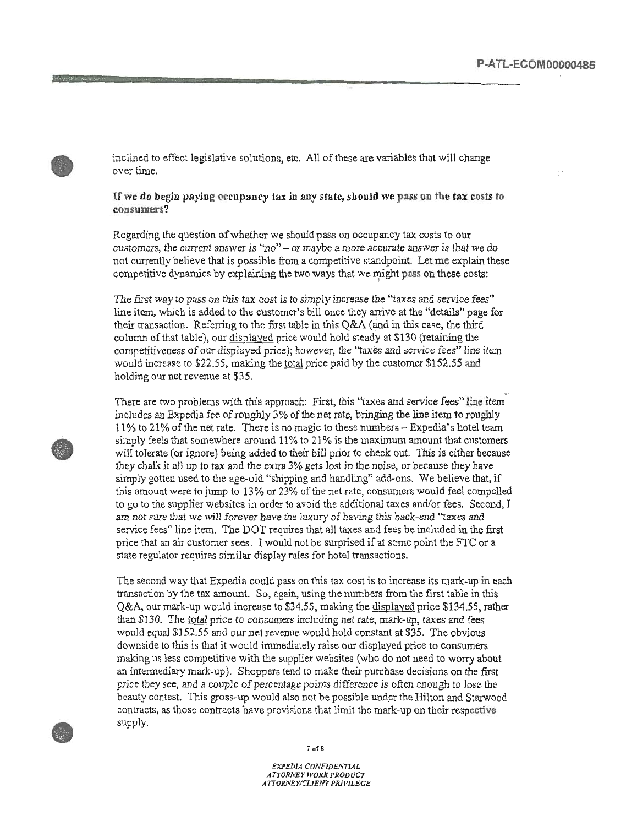inclined to effect legislative solutions, etc. All of these are variables that will change over time.

If we do begin paying occupancy tax in any state, should we pass on the tax costs to consumers?

Regarding the question of whether we should pass on occupancy tax costs to our customers, the current answer is "no" - or maybe a more accurate answer is that we do not currently believe that is possible from a competitive standpoint. Let me explain these competitive dynamics by explaining the two ways that we might pass on these costs:

The first way to pass on this tax cost is to simply increase the "taxes and service fees" line item, which is added to the customer's bill once they arrive at the "details" page for their transaction. Referring to the first table in this Q&A (and in this case, the third column of that table), our displayed price would hold steady at \$130 (retaining the competitiveness of our displayed price); however, the "taxes and service fees" line item would increase to \$22.55, making the total price paid by the customer \$152.55 and holding our net revenue at \$35.

There are two problems with this approach: First, this "taxes and service fees" line item includes an Expedia fee of roughly 3% of the net rate, bringing the line item to roughly 11% to 21% of the net rate. There is no magic to these numbers – Expedia's hotel team simply feels that somewhere around 11% to 21% is the maximum amount that customers will tolerate (or ignore) being added to their bill prior to check out. This is either because they chalk it all up to tax and the extra 3% gets lost in the noise, or because they have simply gotten used to the age-old "shipping and handling" add-ons. We believe that, if this amount were to jump to 13% or 23% of the net rate, consumers would feel compelled to go to the supplier websites in order to avoid the additional taxes and/or fees. Second, I am not sure that we will forever have the luxury of having this back-end "taxes and service fees" line item. The DOT requires that all taxes and fees be included in the first price that an air customer sees. I would not be surprised if at some point the FTC or a state regulator requires similar display rules for hotel transactions.

The second way that Expedia could pass on this tax cost is to increase its mark-up in each transaction by the tax amount. So, again, using the numbers from the first table in this Q&A, our mark-up would increase to \$34.55, making the displayed price \$134.55, rather than \$130. The total price to consumers including net rate, mark-up, taxes and fees would equal \$152.55 and our net revenue would hold constant at \$35. The obvious downside to this is that it would immediately raise our displayed price to consumers making us less competitive with the supplier websites (who do not need to worry about an intermediary mark-up). Shoppers tend to make their purchase decisions on the first price they see, and a couple of percentage points difference is often enough to lose the beauty contest. This gross-up would also not be possible under the Hilton and Starwood contracts, as those contracts have provisions that limit the mark-up on their respective supply.





 $7 of 8$